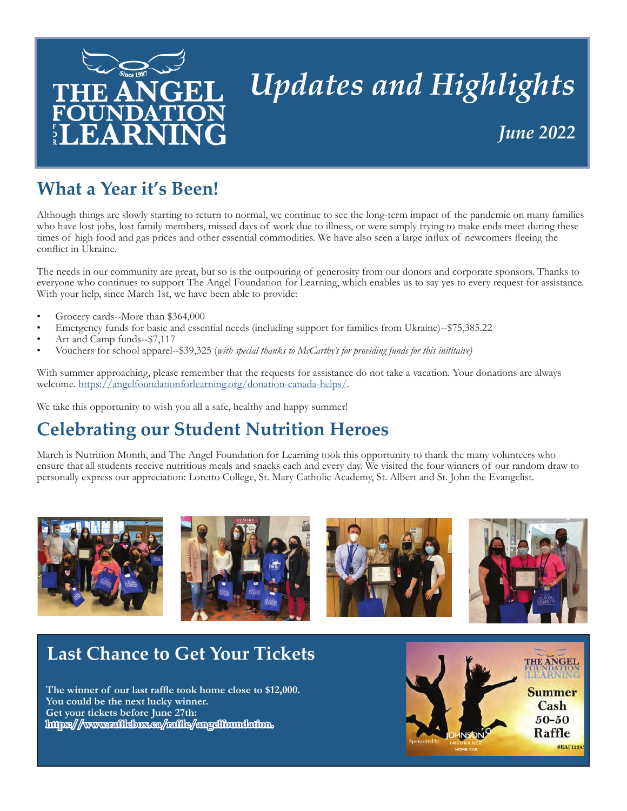

# *Updates and Highlights June 2022*

## **What a Year it's Been!**

Although things are slowly starting to return to normal, we continue to see the long-term impact of the pandemic on many families who have lost jobs, lost family members, missed days of work due to illness, or were simply trying to make ends meet during these times of high food and gas prices and other essential commodities. We have also seen a large influx of newcomers fleeing the conflict in Ukraine.

The needs in our community are great, but so is the outpouring of generosity from our donors and corporate sponsors. Thanks to everyone who continues to support The Angel Foundation for Learning, which enables us to say yes to every request for assistance. With your help, since March 1st, we have been able to provide:

- Grocery cards--More than \$364,000
- Emergency funds for basic and essential needs (including support for families from Ukraine)--\$75,385.22
- Art and Camp funds--\$7,117
- Vouchers for school apparel--\$39,325 (*with special thanks to McCarthy's for providing funds for this inititaive)*

With summer approaching, please remember that the requests for assistance do not take a vacation. Your donations are always welcome. <https://angelfoundationforlearning.org/donation-canada-helps/>.

We take this opportunity to wish you all a safe, healthy and happy summer!

### **Celebrating our Student Nutrition Heroes**

March is Nutrition Month, and The Angel Foundation for Learning took this opportunity to thank the many volunteers who ensure that all students receive nutritious meals and snacks each and every day. We visited the four winners of our random draw to personally express our appreciation: Loretto College, St. Mary Catholic Academy, St. Albert and St. John the Evangelist.



### **Last Chance to Get Your Tickets**

 **The winner of our last raffle took home close to \$12,000. You could be the next lucky winner. Get your tickets before June 27th: [https://www.rafflebox.ca/raffle/angelfoundation.](https://www.rafflebox.ca/raffle/angelfoundation)** 

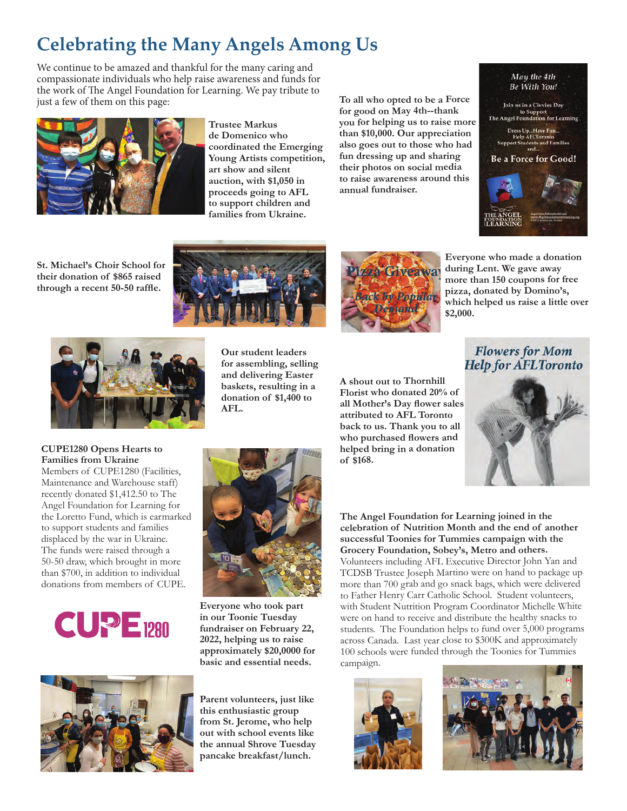## **Celebrating the Many Angels Among Us**

We continue to be amazed and thankful for the many caring and compassionate individuals who help raise awareness and funds for the work of The Angel Foundation for Learning. We pay tribute to just a few of them on this page:



**Trustee Markus de Domenico who coordinated the Emerging Young Artists competition, art show and silent auction, with \$1,050 in proceeds going to AFL to support children and families from Ukraine.**

**To all who opted to be a Force for good on May 4th--thank you for helping us to raise more than \$10,000. Our appreciation also goes out to those who had fun dressing up and sharing their photos on social media to raise awareness around this annual fundraiser.** 

| May the 4th                                                               |
|---------------------------------------------------------------------------|
| <b>Be With You!</b>                                                       |
|                                                                           |
|                                                                           |
| Join us in a Civvies Day                                                  |
| to Support                                                                |
| The Angel Foundation for Learning                                         |
|                                                                           |
| Dress UpHave Fun                                                          |
| <b>Help AFLToronto</b>                                                    |
| <b>Support Students and Families</b>                                      |
| and                                                                       |
| <b>Be a Force for Good!</b>                                               |
|                                                                           |
|                                                                           |
|                                                                           |
|                                                                           |
|                                                                           |
|                                                                           |
|                                                                           |
| ancel foundations todibors                                                |
| www.shgelfoundationforlearning.org<br>FO<br><b>#ATLToronto.on Twitter</b> |
|                                                                           |
|                                                                           |

**St. Michael's Choir School for their donation of \$865 raised through a recent 50-50 raffle.**





**Everyone who made a donation during Lent. We gave away more than 150 coupons for free pizza, donated by Domino's, which helped us raise a little over \$2,000.**



**Our student leaders for assembling, selling and delivering Easter baskets, resulting in a donation of \$1,400 to AFL.**



**A shout out to Thornhill Florist who donated 20% of** 

**attributed to AFL Toronto back to us. Thank you to all who purchased flowers and helped bring in a donation** 

**of \$168.**

**Flowers for Mom Help for AFLToronto** 



#### **CUPE1280 Opens Hearts to Families from Ukraine**

Members of CUPE1280 (Facilities, Maintenance and Warehouse staff) recently donated \$1,412.50 to The Angel Foundation for Learning for the Loretto Fund, which is earmarked to support students and families displaced by the war in Ukraine. The funds were raised through a 50-50 draw, which brought in more than \$700, in addition to individual donations from members of CUPE.





**Everyone who took part in our Toonie Tuesday fundraiser on February 22, 2022, helping us to raise approximately \$20,0000 for basic and essential needs.**



**Parent volunteers, just like this enthusiastic group from St. Jerome, who help out with school events like the annual Shrove Tuesday pancake breakfast/lunch.**

**The Angel Foundation for Learning joined in the celebration of Nutrition Month and the end of another successful Toonies for Tummies campaign with the Grocery Foundation, Sobey's, Metro and others.**  Volunteers including AFL Executive Director John Yan and TCDSB Trustee Joseph Martino were on hand to package up more than 700 grab and go snack bags, which were delivered to Father Henry Carr Catholic School. Student volunteers, with Student Nutrition Program Coordinator Michelle White were on hand to receive and distribute the healthy snacks to students. The Foundation helps to fund over 5,000 programs across Canada. Last year close to \$300K and approximately 100 schools were funded through the Toonies for Tummies campaign.



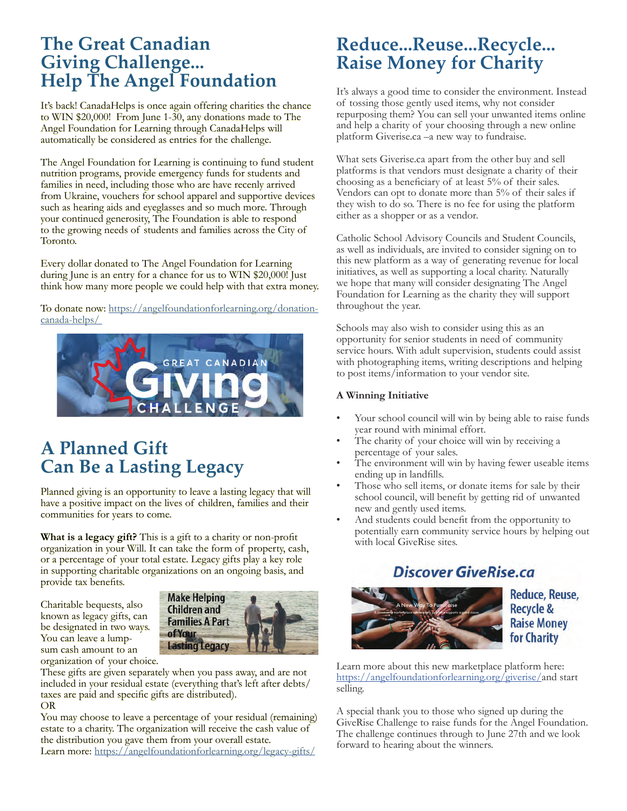#### **The Great Canadian Giving Challenge... Help The Angel Foundation**

It's back! CanadaHelps is once again offering charities the chance to WIN \$20,000! From June 1-30, any donations made to The Angel Foundation for Learning through CanadaHelps will automatically be considered as entries for the challenge.

The Angel Foundation for Learning is continuing to fund student nutrition programs, provide emergency funds for students and families in need, including those who are have recenly arrived from Ukraine, vouchers for school apparel and supportive devices such as hearing aids and eyeglasses and so much more. Through your continued generosity, The Foundation is able to respond to the growing needs of students and families across the City of Toronto.

Every dollar donated to The Angel Foundation for Learning during June is an entry for a chance for us to WIN \$20,000! Just think how many more people we could help with that extra money.

To donate now: [https://angelfoundationforlearning.org/donation](https://angelfoundationforlearning.org/donation-canada-helps/ )[canada-helps/](https://angelfoundationforlearning.org/donation-canada-helps/ ) 



#### **A Planned Gift Can Be a Lasting Legacy**

Planned giving is an opportunity to leave a lasting legacy that will have a positive impact on the lives of children, families and their communities for years to come.

**What is a legacy gift?** This is a gift to a charity or non-profit organization in your Will. It can take the form of property, cash, or a percentage of your total estate. Legacy gifts play a key role in supporting charitable organizations on an ongoing basis, and provide tax benefits.

Charitable bequests, also known as legacy gifts, can be designated in two ways. You can leave a lumpsum cash amount to an organization of your choice.



These gifts are given separately when you pass away, and are not included in your residual estate (everything that's left after debts/ taxes are paid and specific gifts are distributed). OR

You may choose to leave a percentage of your residual (remaining) estate to a charity. The organization will receive the cash value of the distribution you gave them from your overall estate. Learn more:<https://angelfoundationforlearning.org/legacy-gifts/>

#### **Reduce...Reuse...Recycle... Raise Money for Charity**

It's always a good time to consider the environment. Instead of tossing those gently used items, why not consider repurposing them? You can sell your unwanted items online and help a charity of your choosing through a new online platform Giverise.ca –a new way to fundraise.

What sets Giverise.ca apart from the other buy and sell platforms is that vendors must designate a charity of their choosing as a beneficiary of at least 5% of their sales. Vendors can opt to donate more than 5% of their sales if they wish to do so. There is no fee for using the platform either as a shopper or as a vendor.

Catholic School Advisory Councils and Student Councils, as well as individuals, are invited to consider signing on to this new platform as a way of generating revenue for local initiatives, as well as supporting a local charity. Naturally we hope that many will consider designating The Angel Foundation for Learning as the charity they will support throughout the year.

Schools may also wish to consider using this as an opportunity for senior students in need of community service hours. With adult supervision, students could assist with photographing items, writing descriptions and helping to post items/information to your vendor site.

#### **A Winning Initiative**

- Your school council will win by being able to raise funds year round with minimal effort.
- The charity of your choice will win by receiving a percentage of your sales.
- The environment will win by having fewer useable items ending up in landfills.
- Those who sell items, or donate items for sale by their school council, will benefit by getting rid of unwanted new and gently used items.
- And students could benefit from the opportunity to potentially earn community service hours by helping out with local GiveRise sites.

#### **Discover GiveRise.ca**



Reduce, Reuse, **Recycle & Raise Money** for Charity

Learn more about this new marketplace platform here: <https://angelfoundationforlearning.org/giverise/>and start selling.

A special thank you to those who signed up during the GiveRise Challenge to raise funds for the Angel Foundation. The challenge continues through to June 27th and we look forward to hearing about the winners.